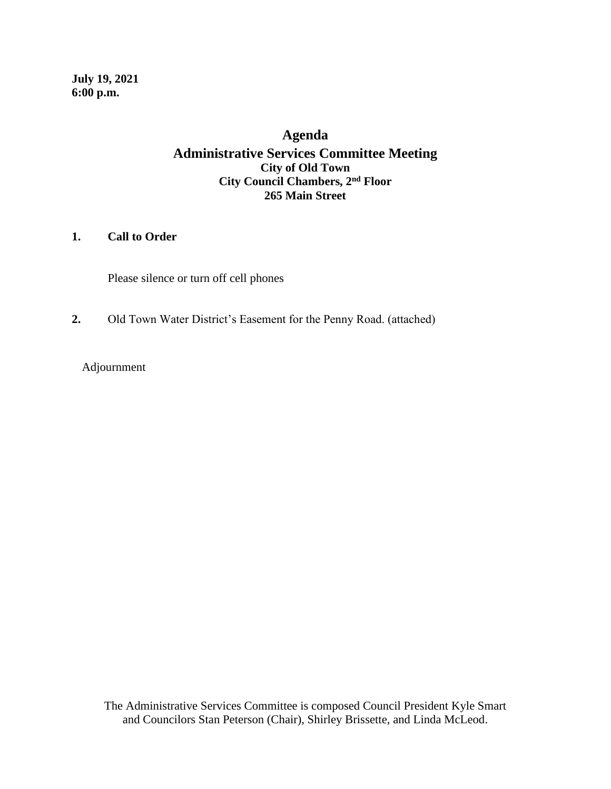**July 19, 2021 6:00 p.m.**

# **Agenda Administrative Services Committee Meeting City of Old Town City Council Chambers, 2nd Floor 265 Main Street**

# **1. Call to Order**

Please silence or turn off cell phones

**2.** Old Town Water District's Easement for the Penny Road. (attached)

Adjournment

The Administrative Services Committee is composed Council President Kyle Smart and Councilors Stan Peterson (Chair), Shirley Brissette, and Linda McLeod.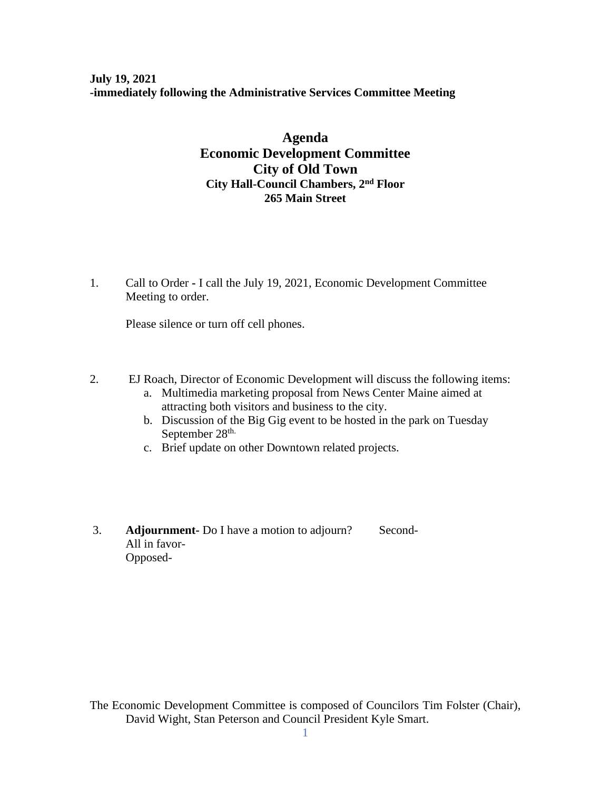**July 19, 2021 -immediately following the Administrative Services Committee Meeting**

# **Agenda Economic Development Committee City of Old Town City Hall-Council Chambers, 2nd Floor 265 Main Street**

1. Call to Order **-** I call the July 19, 2021, Economic Development Committee Meeting to order.

Please silence or turn off cell phones.

- 2. EJ Roach, Director of Economic Development will discuss the following items:
	- a. Multimedia marketing proposal from News Center Maine aimed at attracting both visitors and business to the city.
	- b. Discussion of the Big Gig event to be hosted in the park on Tuesday September 28<sup>th.</sup>
	- c. Brief update on other Downtown related projects.
- 3. **Adjournment-** Do I have a motion to adjourn? Second- All in favor- Opposed-

The Economic Development Committee is composed of Councilors Tim Folster (Chair), David Wight, Stan Peterson and Council President Kyle Smart.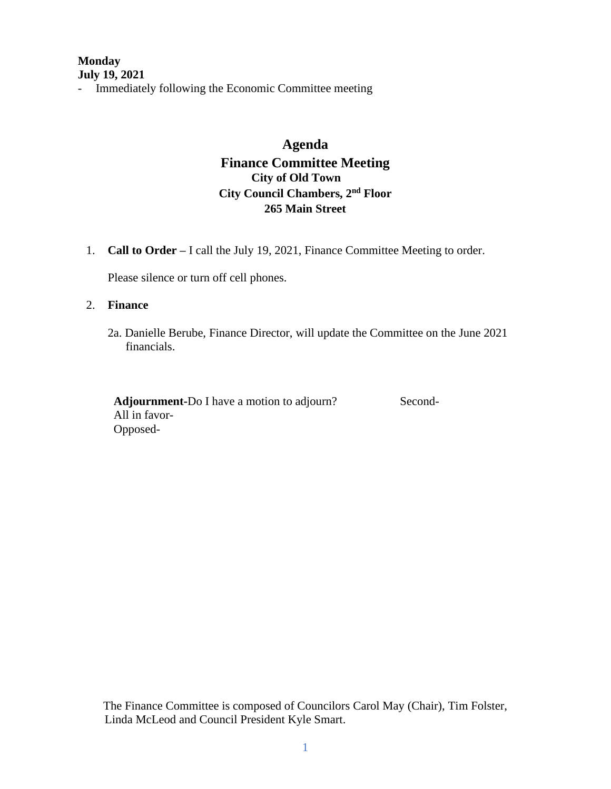### **Monday July 19, 2021** - Immediately following the Economic Committee meeting

# **Agenda Finance Committee Meeting City of Old Town City Council Chambers, 2nd Floor 265 Main Street**

1. **Call to Order –** I call the July 19, 2021, Finance Committee Meeting to order.

Please silence or turn off cell phones.

#### 2. **Finance**

2a. Danielle Berube, Finance Director, will update the Committee on the June 2021 financials.

Adjournment-Do I have a motion to adjourn? Second- All in favor- Opposed-

The Finance Committee is composed of Councilors Carol May (Chair), Tim Folster, Linda McLeod and Council President Kyle Smart.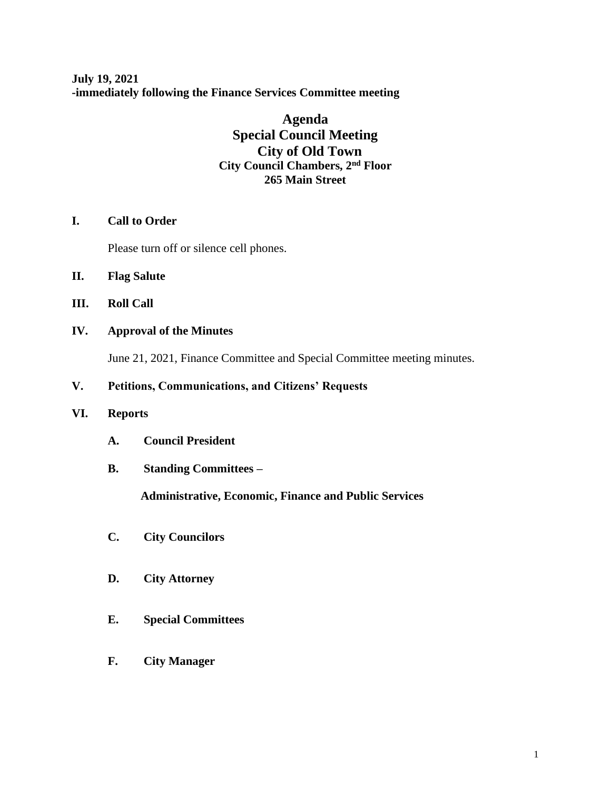**July 19, 2021 -immediately following the Finance Services Committee meeting**

# **Agenda Special Council Meeting City of Old Town City Council Chambers, 2nd Floor 265 Main Street**

### **I. Call to Order**

Please turn off or silence cell phones.

- **II. Flag Salute**
- **III. Roll Call**

# **IV. Approval of the Minutes**

June 21, 2021, Finance Committee and Special Committee meeting minutes.

## **V. Petitions, Communications, and Citizens' Requests**

#### **VI. Reports**

- **A. Council President**
- **B. Standing Committees –**

 **Administrative, Economic, Finance and Public Services**

- **C. City Councilors**
- **D. City Attorney**
- **E. Special Committees**
- **F. City Manager**